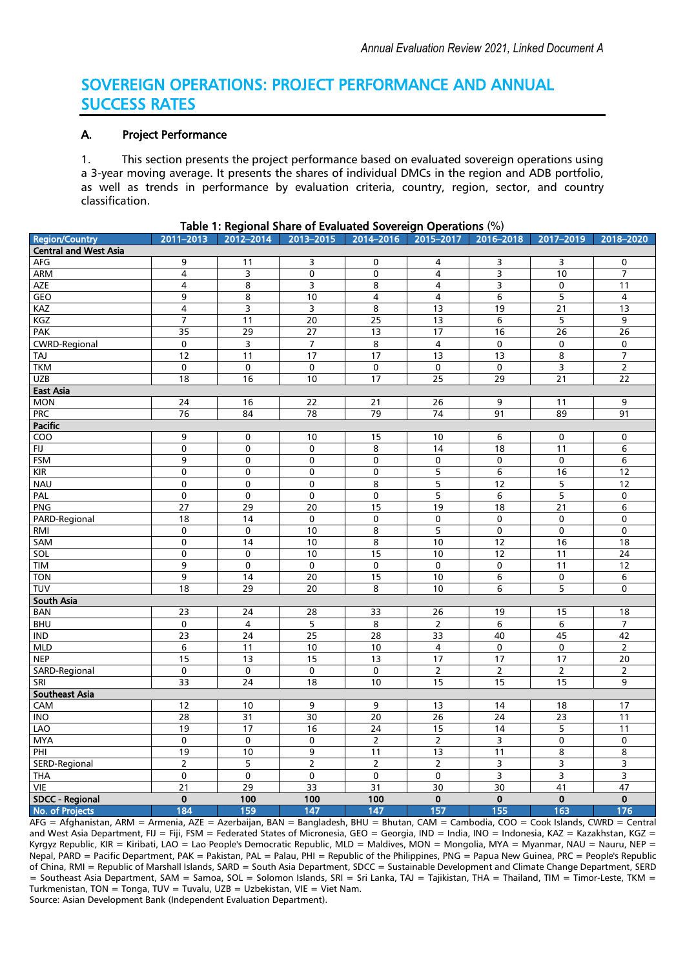# SOVEREIGN OPERATIONS: PROJECT PERFORMANCE AND ANNUAL SUCCESS RATES

# A. Project Performance

1. This section presents the project performance based on evaluated sovereign operations using a 3-year moving average. It presents the shares of individual DMCs in the region and ADB portfolio, as well as trends in performance by evaluation criteria, country, region, sector, and country classification.

| <b>Region/Country</b>        | 2011-2013               | <br>.<br>2012-2014 | .<br>2013-2015          | <br>2014-2016   | . .<br>.<br>2015-2017   | $\cdot$ $\cdot$<br>2016-2018 | 2017-2019               | 2018-2020               |
|------------------------------|-------------------------|--------------------|-------------------------|-----------------|-------------------------|------------------------------|-------------------------|-------------------------|
| <b>Central and West Asia</b> |                         |                    |                         |                 |                         |                              |                         |                         |
| AFG                          | $\overline{9}$          | 11                 | 3                       | 0               | 4                       | 3                            | 3                       | 0                       |
| <b>ARM</b>                   | 4                       | з                  | 0                       | 0               | $\overline{4}$          | З                            | 10                      | $\overline{7}$          |
| <b>AZE</b>                   | 4                       | 8                  | 3                       | 8               | 4                       | 3                            | 0                       | 11                      |
| <b>GEO</b>                   | 9                       | 8                  | 10                      | $\overline{4}$  | $\overline{4}$          | 6                            | 5                       | $\overline{\mathbf{4}}$ |
| KAZ                          | 4                       | з                  | 3                       | 8               | 13                      | 19                           | $\overline{21}$         | 13                      |
| <b>KGZ</b>                   | 7                       | 11                 | 20                      | 25              | 13                      | $\overline{6}$               | $\overline{5}$          | $\overline{9}$          |
| <b>PAK</b>                   | $\overline{35}$         | 29                 | $\overline{27}$         | 13              | $\overline{17}$         | 16                           | $\overline{26}$         | $\overline{26}$         |
| <b>CWRD-Regional</b>         | $\mathbf 0$             | 3                  | $\overline{7}$          | 8               | $\overline{4}$          | $\pmb{0}$                    | $\pmb{0}$               | 0                       |
| TAJ                          | $\overline{12}$         | 11                 | $\overline{17}$         | $\overline{17}$ | 13                      | $\overline{13}$              | 8                       | $\overline{7}$          |
| <b>TKM</b>                   | $\pmb{0}$               | $\pmb{0}$          | $\pmb{0}$               | $\pmb{0}$       | $\mathbf 0$             | $\pmb{0}$                    | $\mathsf 3$             | $\overline{2}$          |
| UZB                          | 18                      | 16                 | 10                      | 17              | 25                      | 29                           | 21                      | 22                      |
| <b>East Asia</b>             |                         |                    |                         |                 |                         |                              |                         |                         |
| <b>MON</b>                   | $\overline{24}$         | 16                 | 22                      | $\overline{21}$ | $\overline{26}$         | 9                            | 11                      | 9                       |
| <b>PRC</b>                   | 76                      | 84                 | 78                      | 79              | 74                      | 91                           | 89                      | 91                      |
| Pacific                      |                         |                    |                         |                 |                         |                              |                         |                         |
| $\overline{100}$             | 9                       | 0                  | 10                      | 15              | 10                      | 6                            | $\mathbf 0$             | 0                       |
| FU                           | 0                       | 0                  | 0                       | 8               | 14                      | 18                           | 11                      | 6                       |
| <b>FSM</b>                   | 9                       | $\overline{0}$     | 0                       | 0               | $\mathbf 0$             | $\pmb{0}$                    | 0                       | $\overline{6}$          |
| KIR                          | $\pmb{0}$               | $\overline{0}$     | $\pmb{0}$               | 0               | 5                       | $\overline{6}$               | 16                      | 12                      |
| <b>NAU</b>                   | $\mathbf 0$             | $\overline{0}$     | 0                       | 8               | 5                       | 12                           | 5                       | 12                      |
| <b>PAL</b>                   | $\pmb{0}$               | 0                  | $\pmb{0}$               | 0               | 5                       | $\bf 6$                      | 5                       | 0                       |
| <b>PNG</b>                   | $\overline{27}$         | 29                 | $\overline{20}$         | 15              | 19                      | $\overline{18}$              | $\overline{21}$         | 6                       |
| PARD-Regional                | 18                      | 14                 | $\pmb{0}$               | 0               | 0                       | $\pmb{0}$                    | 0                       | 0                       |
| RMI                          | 0                       | $\overline{0}$     | 10                      | 8               | $\overline{5}$          | $\overline{\mathbf{0}}$      | $\overline{\mathbf{0}}$ | $\overline{\mathbf{0}}$ |
| SAM                          | $\pmb{0}$               | 14                 | 10                      | 8               | 10                      | 12                           | 16                      | 18                      |
| SOL                          | $\mathbf 0$             | 0                  | 10                      | 15              | 10                      | 12                           | 11                      | 24                      |
| <b>TIM</b>                   | 9                       | 0                  | $\overline{0}$          | $\overline{0}$  | $\mathbf 0$             | 0                            | 11                      | 12                      |
| <b>TON</b>                   | 9                       | 14                 | 20                      | 15              | 10                      | $\overline{6}$               | 0                       | $\overline{6}$          |
| TUV                          | 18                      | 29                 | 20                      | 8               | 10                      | 6                            | 5                       | 0                       |
| South Asia                   |                         |                    |                         |                 |                         |                              |                         |                         |
| BAN                          | $\overline{23}$         | 24                 | 28                      | $\overline{33}$ | $\overline{26}$         | 19                           | 15                      | 18                      |
| <b>BHU</b>                   | $\mathbf 0$             | 4                  | $\overline{\mathbf{5}}$ | $\overline{8}$  | $\overline{2}$          | 6                            | 6                       | $\overline{7}$          |
| $\overline{IND}$             | 23                      | $\overline{24}$    | 25                      | 28              | 33                      | 40                           | 45                      | 42                      |
| <b>MLD</b>                   | 6                       | 11                 | 10                      | 10              | 4                       | $\mathbf 0$                  | $\mathbf 0$             | $\mathsf{2}$            |
| <b>NEP</b>                   | 15                      | 13                 | 15                      | $\overline{13}$ | 17                      | 17                           | $\overline{17}$         | $\overline{20}$         |
| SARD-Regional                | $\mathbf 0$             | $\pmb{0}$          | $\mathbf 0$             | $\mathbf 0$     | $\overline{2}$          | $\overline{2}$               | $\overline{2}$          | $\mathsf{2}$            |
| SRI                          | 33                      | $\overline{24}$    | 18                      | 10              | 15                      | 15                           | 15                      | $\overline{9}$          |
| Southeast Asia               |                         |                    |                         |                 |                         |                              |                         |                         |
| CAM                          | 12                      | 10                 | 9                       | 9               | 13                      | 14                           | 18                      | 17                      |
| <b>INO</b>                   | 28                      | $\overline{31}$    | 30                      | 20              | 26                      | 24                           | 23                      | 11                      |
| LAO                          | 19                      | 17                 | 16                      | 24              | 15                      | 14                           | 5                       | 11                      |
| <b>MYA</b>                   | $\overline{0}$          | $\overline{0}$     | 0                       | $\overline{2}$  | $\overline{2}$          | з                            | $\pmb{0}$               | 0                       |
| PHI                          | 19                      | 10                 | 9                       | 11              | 13                      | 11                           | 8                       | 8                       |
| SERD-Regional                | $\overline{2}$          | 5                  | $\overline{2}$          | $\overline{2}$  | $\overline{2}$          | З                            | 3                       | 3                       |
| <b>THA</b>                   | $\overline{0}$          | 0                  | 0                       | 0               | $\mathbf 0$             | З                            | 3                       | 3                       |
| <b>VIE</b>                   | $\overline{21}$         | 29                 | 33                      | $\overline{31}$ | 30                      | 30                           | 41                      | 47                      |
| <b>SDCC - Regional</b>       | $\overline{\mathbf{0}}$ | 100                | 100                     | 100             | $\overline{\mathbf{0}}$ | $\overline{\mathbf{0}}$      | $\mathbf 0$             | $\overline{\mathbf{0}}$ |
| No. of Projects              | 184                     | 159                | 147                     | 147             | 157                     | 155                          | 163                     | 176                     |

Table 1: Regional Share of Evaluated Sovereign Operations (%)

AFG = Afghanistan, ARM = Armenia, AZE = Azerbaijan, BAN = Bangladesh, BHU = Bhutan, CAM = Cambodia, COO = Cook Islands, CWRD = Central and West Asia Department, FIJ = Fiji, FSM = Federated States of Micronesia, GEO = Georgia, IND = India, INO = Indonesia, KAZ = Kazakhstan, KGZ = Kyrgyz Republic, KIR = Kiribati, LAO = Lao People's Democratic Republic, MLD = Maldives, MON = Mongolia, MYA = Myanmar, NAU = Nauru, NEP = Nepal, PARD = Pacific Department, PAK = Pakistan, PAL = Palau, PHI = Republic of the Philippines, PNG = Papua New Guinea, PRC = People's Republic of China, RMI = Republic of Marshall Islands, SARD = South Asia Department, SDCC = Sustainable Development and Climate Change Department, SERD = Southeast Asia Department, SAM = Samoa, SOL = Solomon Islands, SRI = Sri Lanka, TAJ = Tajikistan, THA = Thailand, TIM = Timor-Leste, TKM = Turkmenistan, TON = Tonga, TUV = Tuvalu, UZB = Uzbekistan, VIE = Viet Nam. Source: Asian Development Bank (Independent Evaluation Department).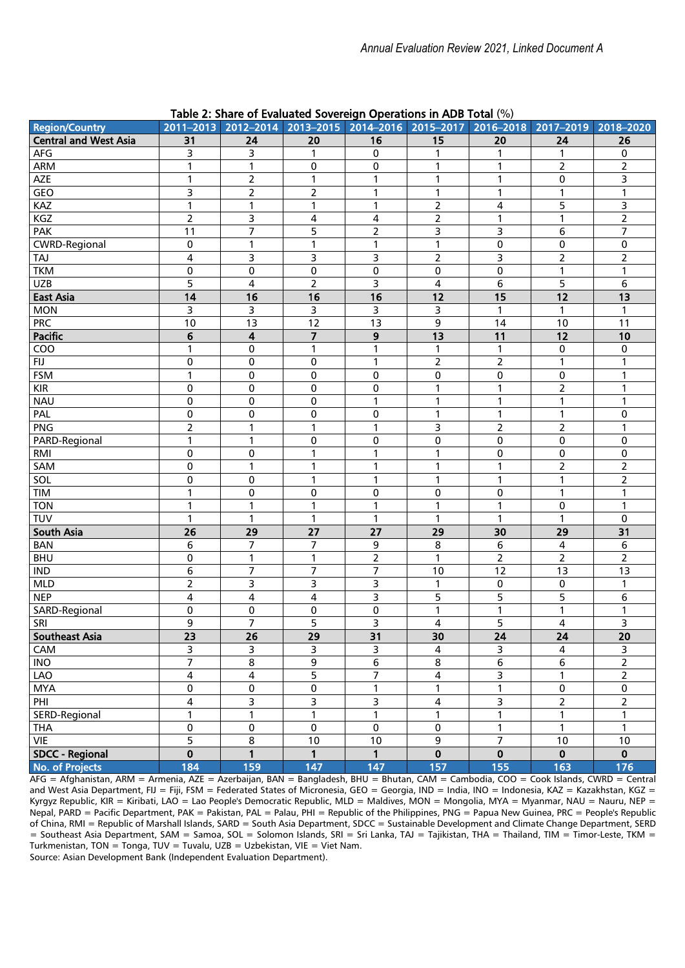| <b>Region/Country</b>        |                | rable 2. Share or Evaluated Sovereign Operations in ADD Total (70)<br>2011-2013 2012-2014 2013-2015 |                                |                     | 2014-2016 2015-2017 2016-2018 2017-2019 |                   |                    | 2018-2020                      |
|------------------------------|----------------|-----------------------------------------------------------------------------------------------------|--------------------------------|---------------------|-----------------------------------------|-------------------|--------------------|--------------------------------|
| <b>Central and West Asia</b> |                |                                                                                                     |                                | 16                  | 15                                      | 20                |                    | 26                             |
| AFG                          | 31             | 24                                                                                                  | 20<br>1                        | $\mathbf 0$         | 1                                       | 1                 | 24<br>$\mathbf{1}$ | $\mathbf 0$                    |
|                              | 3              | 3                                                                                                   |                                |                     |                                         |                   | $\overline{2}$     | $\overline{2}$                 |
| ARM                          | 1              | $\mathbf{1}$                                                                                        | 0                              | $\mathbf 0$         | 1                                       | 1                 |                    | $\overline{3}$                 |
| AZE                          | 1<br>3         | $\mathbf 2$                                                                                         | $\mathbf{1}$                   | 1                   | $\mathbf{1}$                            | $\mathbf{1}$      | $\mathbf 0$        |                                |
| GEO                          | $\mathbf{1}$   | $\overline{2}$<br>$\mathbf{1}$                                                                      | $\overline{2}$<br>$\mathbf{1}$ | $\mathbf{1}$        | $\mathbf{1}$<br>$\overline{2}$          | $\mathbf{1}$<br>4 | $\mathbf{1}$<br>5  | $\mathbf{1}$<br>$\overline{3}$ |
| KAZ                          | $\overline{2}$ |                                                                                                     |                                | $\mathbf{1}$        |                                         |                   |                    | $\overline{2}$                 |
| KGZ                          | 11             | 3<br>$\overline{7}$                                                                                 | 4<br>5                         | 4<br>$\overline{2}$ | $\mathbf 2$<br>3                        | 1<br>3            | 1                  | 7                              |
| PAK<br><b>CWRD-Regional</b>  | 0              | $\mathbf{1}$                                                                                        | $\mathbf{1}$                   | $\mathbf{1}$        | $\mathbf{1}$                            | 0                 | 6<br>$\mathbf 0$   | $\pmb{0}$                      |
| TAJ                          | 4              | 3                                                                                                   | 3                              | 3                   | $\overline{2}$                          | 3                 | $\mathbf 2$        | $\overline{2}$                 |
| <b>TKM</b>                   | 0              | $\pmb{0}$                                                                                           | $\pmb{0}$                      | $\pmb{0}$           | $\pmb{0}$                               | 0                 | $\mathbf{1}$       | $\mathbf{1}$                   |
| <b>UZB</b>                   | 5              | $\overline{\mathbf{4}}$                                                                             | $\overline{2}$                 | 3                   | $\overline{4}$                          | 6                 | 5                  | 6                              |
| <b>East Asia</b>             | 14             | 16                                                                                                  | 16                             | 16                  | 12                                      | 15                | 12                 | 13                             |
| <b>MON</b>                   | 3              | 3                                                                                                   | 3                              | 3                   | 3                                       | $\mathbf{1}$      | $\mathbf{1}$       | 1                              |
| <b>PRC</b>                   | 10             | 13                                                                                                  | 12                             | 13                  | 9                                       | 14                | 10                 | 11                             |
| Pacific                      | 6              | 4                                                                                                   | $\overline{\mathbf{z}}$        | 9                   | 13                                      | 11                | 12                 | 10                             |
| COO                          | $\mathbf{1}$   | 0                                                                                                   | $\mathbf{1}$                   | $\mathbf{1}$        | $\mathbf{1}$                            | $\mathbf{1}$      | $\pmb{0}$          | $\pmb{0}$                      |
| <b>FIJ</b>                   | 0              | 0                                                                                                   | 0                              | $\mathbf{1}$        | $\overline{2}$                          | $\overline{2}$    | $\mathbf{1}$       | $\mathbf{1}$                   |
| <b>FSM</b>                   | 1              | 0                                                                                                   | 0                              | $\mathbf 0$         | $\pmb{0}$                               | 0                 | 0                  | 1                              |
| <b>KIR</b>                   | 0              | 0                                                                                                   | 0                              | $\mathbf 0$         | $\mathbf{1}$                            | $\mathbf{1}$      | $\overline{2}$     | 1                              |
| <b>NAU</b>                   | 0              | 0                                                                                                   | 0                              | 1                   | 1                                       | 1                 | 1                  | 1                              |
| PAL                          | 0              | 0                                                                                                   | 0                              | 0                   | 1                                       | 1                 | 1                  | 0                              |
| <b>PNG</b>                   | $\overline{2}$ | $\mathbf{1}$                                                                                        | $\mathbf{1}$                   | $\mathbf{1}$        | 3                                       | $\overline{2}$    | $\mathbf 2$        | 1                              |
| PARD-Regional                | 1              | $\mathbf{1}$                                                                                        | 0                              | $\mathbf 0$         | 0                                       | 0                 | 0                  | $\mathbf 0$                    |
| RMI                          | 0              | $\pmb{0}$                                                                                           | $\mathbf{1}$                   | 1                   | $\mathbf{1}$                            | 0                 | $\pmb{0}$          | $\pmb{0}$                      |
| SAM                          | 0              | $\overline{1}$                                                                                      | $\mathbf{1}$                   | 1                   | $\mathbf{1}$                            | $\overline{1}$    | $\overline{2}$     | $\overline{2}$                 |
| SOL                          | 0              | 0                                                                                                   | 1                              | $\mathbf{1}$        | 1                                       | 1                 | $\mathbf{1}$       | $\overline{2}$                 |
| TIM                          | 1              | $\pmb{0}$                                                                                           | 0                              | 0                   | $\pmb{0}$                               | 0                 | $\mathbf{1}$       | $\mathbf{1}$                   |
| <b>TON</b>                   | 1              | $\mathbf{1}$                                                                                        | $\mathbf{1}$                   | 1                   | $\mathbf{1}$                            | 1                 | 0                  | 1                              |
| TUV                          | 1              | $\mathbf{1}$                                                                                        | $\mathbf{1}$                   | 1                   | $\mathbf{1}$                            | 1                 | $\mathbf{1}$       | 0                              |
| <b>South Asia</b>            | 26             | 29                                                                                                  | 27                             | 27                  | 29                                      | 30                | 29                 | 31                             |
| <b>BAN</b>                   | 6              | 7                                                                                                   | 7                              | 9                   | $\bf 8$                                 | 6                 | 4                  | $\,6$                          |
| <b>BHU</b>                   | 0              | $\mathbf{1}$                                                                                        | $\mathbf{1}$                   | $\overline{2}$      | $\mathbf{1}$                            | $\overline{2}$    | $\overline{2}$     | $\overline{2}$                 |
| $\mathsf{IND}$               | 6              | $\overline{7}$                                                                                      | $\overline{7}$                 | $\overline{7}$      | 10                                      | 12                | 13                 | 13                             |
| <b>MLD</b>                   | $\overline{2}$ | 3                                                                                                   | 3                              | 3                   | $\mathbf{1}$                            | 0                 | 0                  | $\mathbf{1}$                   |
| <b>NEP</b>                   | 4              | 4                                                                                                   | 4                              | 3                   | 5                                       | 5                 | 5                  | 6                              |
| SARD-Regional                | 0              | $\pmb{0}$                                                                                           | 0                              | $\pmb{0}$           | $\mathbf{1}$                            | $\mathbf{1}$      | $\mathbf{1}$       | $\mathbf{1}$                   |
| SRI                          | 9              | $\overline{7}$                                                                                      | 5                              | 3                   | 4                                       | 5                 | $\overline{4}$     | 3                              |
| <b>Southeast Asia</b>        | 23             | 26                                                                                                  | 29                             | 31                  | 30                                      | 24                | 24                 | 20                             |
| CAM                          | 3              | 3                                                                                                   | 3                              | 3                   | $\overline{4}$                          | 3                 | $\overline{4}$     | 3                              |
| INO                          | 7              | 8                                                                                                   | 9                              | 6                   | 8                                       | 6                 | 6                  | $\overline{2}$                 |
| LAO                          | 4              | 4                                                                                                   | 5                              | $\overline{7}$      | 4                                       | 3                 | 1                  | $\overline{2}$                 |
| <b>MYA</b>                   | 0              | 0                                                                                                   | 0                              | $\mathbf{1}$        | 1                                       | $\mathbf{1}$      | $\pmb{0}$          | 0                              |
| PHI                          | 4              | 3                                                                                                   | 3                              | 3                   | 4                                       | 3                 | $\overline{2}$     | $\overline{2}$                 |
| SERD-Regional                | 1              | $\overline{1}$                                                                                      | $\mathbf{1}$                   | $\mathbf{1}$        | $\mathbf{1}$                            | $\overline{1}$    | 1                  | $\mathbf{1}$                   |
| <b>THA</b>                   | 0              | $\pmb{0}$                                                                                           | 0                              | $\pmb{0}$           | $\pmb{0}$                               | $\mathbf{1}$      | $\mathbf{1}$       | $\mathbf{1}$                   |
| VIE                          | 5              | 8                                                                                                   | 10                             | 10                  | $\overline{9}$                          | 7                 | 10                 | 10                             |
| <b>SDCC - Regional</b>       | $\mathbf 0$    | 1                                                                                                   | 1                              | $\mathbf{1}$        | $\mathbf 0$                             | 0                 | $\mathbf 0$        | $\mathbf 0$                    |
| No. of Projects              | 184            | 159                                                                                                 | 147                            | 147                 | 157                                     | 155               | 163                | 176                            |

# Table 2: Share of Evaluated Sovereign Operations in ADB Total (%)

AFG = Afghanistan, ARM = Armenia, AZE = Azerbaijan, BAN = Bangladesh, BHU = Bhutan, CAM = Cambodia, COO = Cook Islands, CWRD = Central and West Asia Department, FIJ = Fiji, FSM = Federated States of Micronesia, GEO = Georgia, IND = India, INO = Indonesia, KAZ = Kazakhstan, KGZ = Kyrgyz Republic, KIR = Kiribati, LAO = Lao People's Democratic Republic, MLD = Maldives, MON = Mongolia, MYA = Myanmar, NAU = Nauru, NEP = Nepal, PARD = Pacific Department, PAK = Pakistan, PAL = Palau, PHI = Republic of the Philippines, PNG = Papua New Guinea, PRC = People's Republic of China, RMI = Republic of Marshall Islands, SARD = South Asia Department, SDCC = Sustainable Development and Climate Change Department, SERD = Southeast Asia Department, SAM = Samoa, SOL = Solomon Islands, SRI = Sri Lanka, TAJ = Tajikistan, THA = Thailand, TIM = Timor-Leste, TKM = Turkmenistan, TON = Tonga, TUV = Tuvalu, UZB = Uzbekistan, VIE = Viet Nam. Source: Asian Development Bank (Independent Evaluation Department).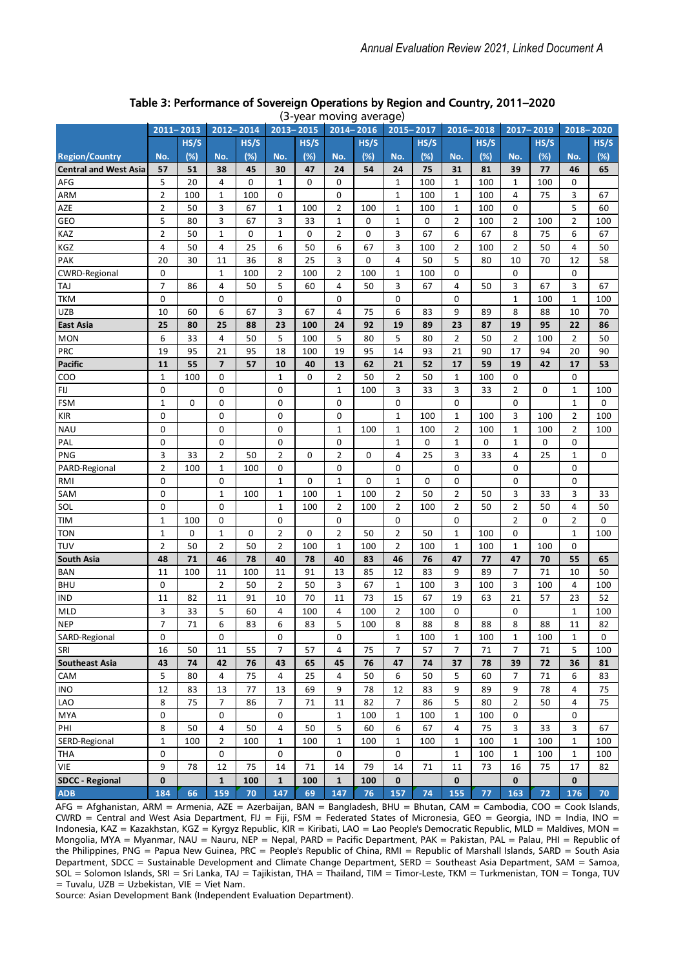|                              |                |      |                         |      |                |             |                | (5-year moving average) |                |             |                |             |                |             |                |      |
|------------------------------|----------------|------|-------------------------|------|----------------|-------------|----------------|-------------------------|----------------|-------------|----------------|-------------|----------------|-------------|----------------|------|
|                              | 2011-2013      |      | 2012-2014               |      | $2013 - 2015$  |             | $2014 - 2016$  |                         | 2015-2017      |             | $2016 - 2018$  |             | 2017-2019      |             | 2018-2020      |      |
|                              |                | HS/S |                         | HS/S |                | HS/S        |                | HS/S                    |                | HS/S        |                | HS/S        |                | HS/S        |                | HS/S |
| <b>Region/Country</b>        | No.            | (%)  | No.                     | (%)  | No.            | (%)         | No.            | (%)                     | No.            | (%)         | No.            | (%)         | No.            | (%)         | No.            | (%)  |
| <b>Central and West Asia</b> | 57             | 51   | 38                      | 45   | 30             | 47          | 24             | 54                      | 24             | 75          | 31             | 81          | 39             | 77          | 46             | 65   |
| AFG                          | 5              | 20   | 4                       | 0    | 1              | 0           | 0              |                         | 1              | 100         | 1              | 100         | 1              | 100         | 0              |      |
| ARM                          | $\mathbf 2$    | 100  | $\mathbf{1}$            | 100  | 0              |             | 0              |                         | 1              | 100         | 1              | 100         | 4              | 75          | 3              | 67   |
| AZE                          | $\overline{2}$ | 50   | 3                       | 67   | 1              | 100         | 2              | 100                     | 1              | 100         | 1              | 100         | 0              |             | 5              | 60   |
| GEO                          | 5              | 80   | 3                       | 67   | 3              | 33          | $\mathbf{1}$   | 0                       | $\mathbf{1}$   | 0           | $\overline{2}$ | 100         | 2              | 100         | $\overline{2}$ | 100  |
| KAZ                          | $\overline{2}$ | 50   | $\mathbf 1$             | 0    | $\mathbf{1}$   | 0           | $\overline{2}$ | 0                       | 3              | 67          | 6              | 67          | 8              | 75          | 6              | 67   |
| KGZ                          | 4              | 50   | 4                       | 25   | 6              | 50          | 6              | 67                      | 3              | 100         | $\overline{2}$ | 100         | 2              | 50          | 4              | 50   |
| PAK                          | 20             | 30   | 11                      | 36   | 8              | 25          | 3              | 0                       | 4              | 50          | 5              | 80          | 10             | 70          | 12             | 58   |
| <b>CWRD-Regional</b>         | 0              |      | $\mathbf 1$             | 100  | $\overline{2}$ | 100         | $\overline{2}$ | 100                     | 1              | 100         | 0              |             | 0              |             | 0              |      |
| TAJ                          | $\overline{7}$ | 86   | 4                       | 50   | 5              | 60          | 4              | 50                      | 3              | 67          | 4              | 50          | 3              | 67          | 3              | 67   |
| <b>TKM</b>                   | 0              |      | 0                       |      | 0              |             | $\mathbf 0$    |                         | 0              |             | 0              |             | 1              | 100         | $\mathbf 1$    | 100  |
| <b>UZB</b>                   | 10             | 60   | 6                       | 67   | 3              | 67          | 4              | 75                      | 6              | 83          | 9              | 89          | 8              | 88          | 10             | 70   |
| East Asia                    | 25             | 80   | 25                      | 88   | 23             | 100         | 24             | 92                      | 19             | 89          | 23             | 87          | 19             | 95          | 22             | 86   |
| <b>MON</b>                   | 6              | 33   | 4                       | 50   | 5              | 100         | 5              | 80                      | 5              | 80          | 2              | 50          | $\overline{2}$ | 100         | $\overline{2}$ | 50   |
| PRC                          | 19             | 95   | 21                      | 95   | 18             | 100         | 19             | 95                      | 14             | 93          | 21             | 90          | 17             | 94          | 20             | 90   |
| <b>Pacific</b>               | 11             | 55   | $\overline{\mathbf{z}}$ | 57   | 10             | 40          | 13             | 62                      | 21             | 52          | 17             | 59          | 19             | 42          | 17             | 53   |
| COO                          | $\mathbf{1}$   | 100  | 0                       |      | $\mathbf{1}$   | 0           | $\overline{2}$ | 50                      | 2              | 50          | 1              | 100         | 0              |             | 0              |      |
| FIJ                          | 0              |      | $\mathbf 0$             |      | 0              |             | $\mathbf{1}$   | 100                     | 3              | 33          | 3              | 33          | $\overline{2}$ | 0           | $\mathbf 1$    | 100  |
| <b>FSM</b>                   | $\mathbf{1}$   | 0    | 0                       |      | 0              |             | 0              |                         | 0              |             | 0              |             | 0              |             | $\mathbf{1}$   | 0    |
| <b>KIR</b>                   | 0              |      | 0                       |      | 0              |             | 0              |                         | 1              | 100         | 1              | 100         | 3              | 100         | 2              | 100  |
| <b>NAU</b>                   | 0              |      | 0                       |      | 0              |             | $\mathbf{1}$   | 100                     | 1              | 100         | 2              | 100         | 1              | 100         | $\overline{2}$ | 100  |
| PAL                          | 0              |      | $\mathbf 0$             |      | $\mathbf 0$    |             | $\mathbf 0$    |                         | $\mathbf{1}$   | 0           | $\mathbf{1}$   | $\mathbf 0$ | $\mathbf{1}$   | $\mathbf 0$ | 0              |      |
| <b>PNG</b>                   | 3              | 33   | $\overline{2}$          | 50   | $\overline{2}$ | $\mathbf 0$ | $\overline{2}$ | $\Omega$                | 4              | 25          | 3              | 33          | 4              | 25          | $\mathbf{1}$   | 0    |
| PARD-Regional                | $\overline{2}$ | 100  | $\mathbf 1$             | 100  | 0              |             | $\mathbf 0$    |                         | 0              |             | 0              |             | 0              |             | 0              |      |
| RMI                          | $\mathbf 0$    |      | $\mathbf 0$             |      | $\mathbf{1}$   | $\Omega$    | $\mathbf{1}$   | 0                       | $\mathbf{1}$   | $\mathbf 0$ | 0              |             | 0              |             | 0              |      |
| SAM                          | 0              |      | $\mathbf 1$             | 100  | 1              | 100         | 1              | 100                     | $\overline{2}$ | 50          | $\overline{2}$ | 50          | 3              | 33          | 3              | 33   |
| SOL                          | 0              |      | 0                       |      | $\mathbf{1}$   | 100         | $\overline{2}$ | 100                     | $\overline{2}$ | 100         | $\overline{2}$ | 50          | $\overline{2}$ | 50          | 4              | 50   |
| <b>TIM</b>                   | $\mathbf 1$    | 100  | 0                       |      | $\mathbf 0$    |             | 0              |                         | 0              |             | 0              |             | 2              | 0           | 2              | 0    |
| <b>TON</b>                   | $\mathbf 1$    | 0    | $\mathbf 1$             | 0    | $\overline{2}$ | 0           | $\overline{2}$ | 50                      | $\overline{2}$ | 50          | $\mathbf{1}$   | 100         | 0              |             | 1              | 100  |
| TUV                          | $\overline{2}$ | 50   | $\overline{2}$          | 50   | $\overline{2}$ | 100         | 1              | 100                     | 2              | 100         | 1              | 100         | 1              | 100         | 0              |      |
| <b>South Asia</b>            | 48             | 71   | 46                      | 78   | 40             | 78          | 40             | 83                      | 46             | 76          | 47             | 77          | 47             | 70          | 55             | 65   |
| <b>BAN</b>                   | 11             | 100  | 11                      | 100  | 11             | 91          | 13             | 85                      | 12             | 83          | 9              | 89          | 7              | 71          | 10             | 50   |
| <b>BHU</b>                   | 0              |      | 2                       | 50   | $\overline{2}$ | 50          | 3              | 67                      | $\mathbf{1}$   | 100         | 3              | 100         | 3              | 100         | 4              | 100  |
| <b>IND</b>                   | 11             | 82   | 11                      | 91   | 10             | 70          | 11             | 73                      | 15             | 67          | 19             | 63          | 21             | 57          | 23             | 52   |
| <b>MLD</b>                   | 3              | 33   | 5                       | 60   | 4              | 100         | 4              | 100                     | $\overline{2}$ | 100         | 0              |             | 0              |             | $\mathbf 1$    | 100  |
| <b>NEP</b>                   | $\overline{7}$ | 71   | 6                       | 83   | 6              | 83          | 5              | 100                     | 8              | 88          | 8              | 88          | 8              | 88          | 11             | 82   |
| SARD-Regional                | 0              |      | 0                       |      | 0              |             | 0              |                         | 1              | 100         | 1              | 100         | 1              | 100         | 1              | 0    |
| SRI                          | 16             | 50   | 11                      | 55   | $\overline{7}$ | 57          | 4              | 75                      | $\overline{7}$ | 57          | $\overline{7}$ | 71          | $\overline{7}$ | 71          | 5              | 100  |
| <b>Southeast Asia</b>        | 43             | 74   | 42                      | 76   | 43             | 65          | 45             | 76                      | 47             | 74          | 37             | 78          | 39             | 72          | 36             | 81   |
| CAM                          | 5              | 80   | 4                       | 75   | 4              | 25          | 4              | 50                      | 6              | 50          | 5              | 60          | 7              | 71          | 6              | 83   |
| <b>INO</b>                   | 12             | 83   | 13                      | 77   | 13             | 69          | 9              | 78                      | 12             | 83          | 9              | 89          | 9              | 78          | 4              | 75   |
| LAO                          | 8              | 75   | $\overline{7}$          | 86   | 7              | 71          | 11             | 82                      | 7              | 86          | 5              | 80          | 2              | 50          | 4              | 75   |
| <b>MYA</b>                   | 0              |      | $\mathbf 0$             |      | 0              |             | $\mathbf{1}$   | 100                     | 1              | 100         | 1              | 100         | 0              |             | 0              |      |
| PHI                          | 8              | 50   | 4                       | 50   | 4              | 50          | 5              | 60                      | 6              | 67          | 4              | 75          | 3              | 33          | 3              | 67   |
| SERD-Regional                | $\mathbf{1}$   | 100  | $\overline{2}$          | 100  | $\mathbf{1}$   | 100         | $\mathbf{1}$   | 100                     | 1              | 100         | $\mathbf{1}$   | 100         | $\mathbf{1}$   | 100         | $\mathbf 1$    | 100  |
| THA                          | 0              |      | 0                       |      | 0              |             | 0              |                         | 0              |             | 1              | 100         | 1              | 100         | 1              | 100  |
| VIE                          | 9              | 78   | 12                      | 75   | 14             | 71          | 14             | 79                      | 14             | 71          | 11             | 73          | 16             | 75          | 17             | 82   |
| <b>SDCC - Regional</b>       | $\bf{0}$       |      | $\mathbf{1}$            | 100  | $\mathbf{1}$   | 100         | $\mathbf{1}$   | 100                     | $\mathbf 0$    |             | 0              |             | 0              |             | $\mathbf{0}$   |      |
| <b>ADB</b>                   | 184            | 66   | 159                     | 70   | 147            | 69          | 147            | 76                      | 157            | 74          | 155            | 77          | 163            | 72          | 176            | 70   |

#### Table 3: Performance of Sovereign Operations by Region and Country, 2011–2020 (3-year moving average)

AFG = Afghanistan, ARM = Armenia, AZE = Azerbaijan, BAN = Bangladesh, BHU = Bhutan, CAM = Cambodia, COO = Cook Islands, CWRD = Central and West Asia Department, FIJ = Fiji, FSM = Federated States of Micronesia, GEO = Georgia, IND = India, INO = Indonesia, KAZ = Kazakhstan, KGZ = Kyrgyz Republic, KIR = Kiribati, LAO = Lao People's Democratic Republic, MLD = Maldives, MON = Mongolia, MYA = Myanmar, NAU = Nauru, NEP = Nepal, PARD = Pacific Department, PAK = Pakistan, PAL = Palau, PHI = Republic of the Philippines, PNG = Papua New Guinea, PRC = People's Republic of China, RMI = Republic of Marshall Islands, SARD = South Asia Department, SDCC = Sustainable Development and Climate Change Department, SERD = Southeast Asia Department, SAM = Samoa, SOL = Solomon Islands, SRI = Sri Lanka, TAJ = Tajikistan, THA = Thailand, TIM = Timor-Leste, TKM = Turkmenistan, TON = Tonga, TUV  $=$  Tuvalu, UZB = Uzbekistan, VIE = Viet Nam.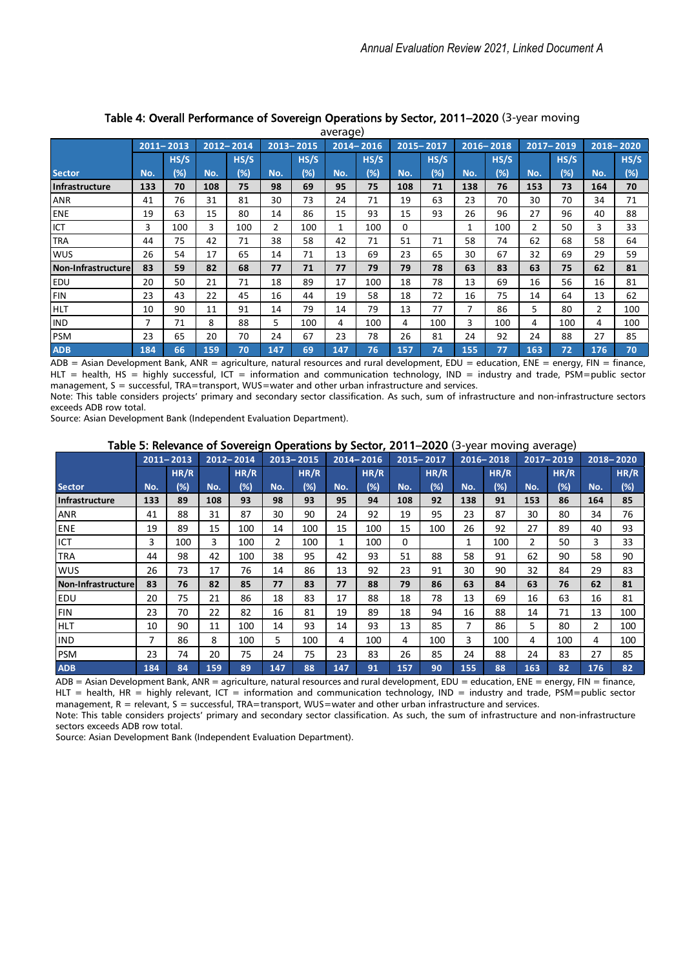|                    |     |               |     |           |                |               | average      |               |     |               |     |               |                |               |                |           |
|--------------------|-----|---------------|-----|-----------|----------------|---------------|--------------|---------------|-----|---------------|-----|---------------|----------------|---------------|----------------|-----------|
|                    |     | $2011 - 2013$ |     | 2012-2014 |                | $2013 - 2015$ |              | $2014 - 2016$ |     | $2015 - 2017$ |     | $2016 - 2018$ |                | $2017 - 2019$ |                | 2018-2020 |
|                    |     | HS/S          |     | HS/S      |                | HS/S          |              | HS/S          |     | HS/S          |     | HS/S          |                | HS/S          |                | HS/S      |
| <b>Sector</b>      | No. | (%)           | No. | (%)       | No.            | (%)           | No.          | (%)           | No. | $(\%)$        | No. | (%)           | No.            | (%)           | No.            | (%)       |
| Infrastructure     | 133 | 70            | 108 | 75        | 98             | 69            | 95           | 75            | 108 | 71            | 138 | 76            | 153            | 73            | 164            | 70        |
| <b>ANR</b>         | 41  | 76            | 31  | 81        | 30             | 73            | 24           | 71            | 19  | 63            | 23  | 70            | 30             | 70            | 34             | 71        |
| ENE                | 19  | 63            | 15  | 80        | 14             | 86            | 15           | 93            | 15  | 93            | 26  | 96            | 27             | 96            | 40             | 88        |
| <b>ICT</b>         | 3   | 100           | 3   | 100       | $\overline{2}$ | 100           | $\mathbf{1}$ | 100           | 0   |               | 1   | 100           | $\overline{2}$ | 50            | 3              | 33        |
| <b>TRA</b>         | 44  | 75            | 42  | 71        | 38             | 58            | 42           | 71            | 51  | 71            | 58  | 74            | 62             | 68            | 58             | 64        |
| <b>WUS</b>         | 26  | 54            | 17  | 65        | 14             | 71            | 13           | 69            | 23  | 65            | 30  | 67            | 32             | 69            | 29             | 59        |
| Non-Infrastructure | 83  | 59            | 82  | 68        | 77             | 71            | 77           | 79            | 79  | 78            | 63  | 83            | 63             | 75            | 62             | 81        |
| <b>EDU</b>         | 20  | 50            | 21  | 71        | 18             | 89            | 17           | 100           | 18  | 78            | 13  | 69            | 16             | 56            | 16             | 81        |
| FIN                | 23  | 43            | 22  | 45        | 16             | 44            | 19           | 58            | 18  | 72            | 16  | 75            | 14             | 64            | 13             | 62        |
| <b>HLT</b>         | 10  | 90            | 11  | 91        | 14             | 79            | 14           | 79            | 13  | 77            | 7   | 86            | 5              | 80            | $\overline{2}$ | 100       |
| <b>IND</b>         | 7   | 71            | 8   | 88        | 5              | 100           | 4            | 100           | 4   | 100           | 3   | 100           | 4              | 100           | 4              | 100       |
| PSM                | 23  | 65            | 20  | 70        | 24             | 67            | 23           | 78            | 26  | 81            | 24  | 92            | 24             | 88            | 27             | 85        |
| <b>ADB</b>         | 184 | 66            | 159 | 70        | 147            | 69            | 147          | 76            | 157 | 74            | 155 | 77            | 163            | 72            | 176            | 70        |

#### Table 4: Overall Performance of Sovereign Operations by Sector, 2011–2020 (3-year moving average)

 $\overline{ADB}$  = Asian Development Bank, ANR = agriculture, natural resources and rural development, EDU = education, ENE = energy, FIN = finance, HLT = health, HS = highly successful, ICT = information and communication technology, IND = industry and trade, PSM=public sector management, S = successful, TRA=transport, WUS=water and other urban infrastructure and services.

Note: This table considers projects' primary and secondary sector classification. As such, sum of infrastructure and non-infrastructure sectors exceeds ADB row total.

Source: Asian Development Bank (Independent Evaluation Department).

### Table 5: Relevance of Sovereign Operations by Sector, 2011–2020 (3-year moving average)

|                       |     | $2011 - 2013$ |     | 2012-2014 |                | 2013-2015 |     | $2014 - 2016$ |     | 2015-2017 |     | 2016-2018 |     | 2017-2019 |                | 2018-2020 |
|-----------------------|-----|---------------|-----|-----------|----------------|-----------|-----|---------------|-----|-----------|-----|-----------|-----|-----------|----------------|-----------|
|                       |     | HR/R          |     | HR/R      |                | HR/R      |     | HR/R          |     | HR/R      |     | HR/R      |     | HR/R      |                | HR/R      |
| <b>Sector</b>         | No. | $(\%)$        | No. | (%)       | No.            | $(\%)$    | No. | (%)           | No. | (%)       | No. | (%)       | No. | (%)       | No.            | (%)       |
| <b>Infrastructure</b> | 133 | 89            | 108 | 93        | 98             | 93        | 95  | 94            | 108 | 92        | 138 | 91        | 153 | 86        | 164            | 85        |
| <b>ANR</b>            | 41  | 88            | 31  | 87        | 30             | 90        | 24  | 92            | 19  | 95        | 23  | 87        | 30  | 80        | 34             | 76        |
| ENE                   | 19  | 89            | 15  | 100       | 14             | 100       | 15  | 100           | 15  | 100       | 26  | 92        | 27  | 89        | 40             | 93        |
| ICT                   | 3   | 100           | 3   | 100       | $\overline{2}$ | 100       | 1   | 100           | 0   |           | 1   | 100       | 2   | 50        | 3              | 33        |
| <b>TRA</b>            | 44  | 98            | 42  | 100       | 38             | 95        | 42  | 93            | 51  | 88        | 58  | 91        | 62  | 90        | 58             | 90        |
| <b>WUS</b>            | 26  | 73            | 17  | 76        | 14             | 86        | 13  | 92            | 23  | 91        | 30  | 90        | 32  | 84        | 29             | 83        |
| Non-Infrastructure    | 83  | 76            | 82  | 85        | 77             | 83        | 77  | 88            | 79  | 86        | 63  | 84        | 63  | 76        | 62             | 81        |
| <b>EDU</b>            | 20  | 75            | 21  | 86        | 18             | 83        | 17  | 88            | 18  | 78        | 13  | 69        | 16  | 63        | 16             | 81        |
| <b>FIN</b>            | 23  | 70            | 22  | 82        | 16             | 81        | 19  | 89            | 18  | 94        | 16  | 88        | 14  | 71        | 13             | 100       |
| <b>HLT</b>            | 10  | 90            | 11  | 100       | 14             | 93        | 14  | 93            | 13  | 85        | 7   | 86        | 5   | 80        | $\overline{2}$ | 100       |
| <b>IND</b>            | 7   | 86            | 8   | 100       | 5              | 100       | 4   | 100           | 4   | 100       | 3   | 100       | 4   | 100       | 4              | 100       |
| PSM                   | 23  | 74            | 20  | 75        | 24             | 75        | 23  | 83            | 26  | 85        | 24  | 88        | 24  | 83        | 27             | 85        |
| <b>ADB</b>            | 184 | 84            | 159 | 89        | 147            | 88        | 147 | 91            | 157 | 90        | 155 | 88        | 163 | 82        | 176            | 82        |

ADB = Asian Development Bank, ANR = agriculture, natural resources and rural development, EDU = education, ENE = energy, FIN = finance,  $HLT$  = health, HR = highly relevant, ICT = information and communication technology, IND = industry and trade, PSM=public sector management, R = relevant, S = successful, TRA=transport, WUS=water and other urban infrastructure and services.

Note: This table considers projects' primary and secondary sector classification. As such, the sum of infrastructure and non-infrastructure sectors exceeds ADB row total.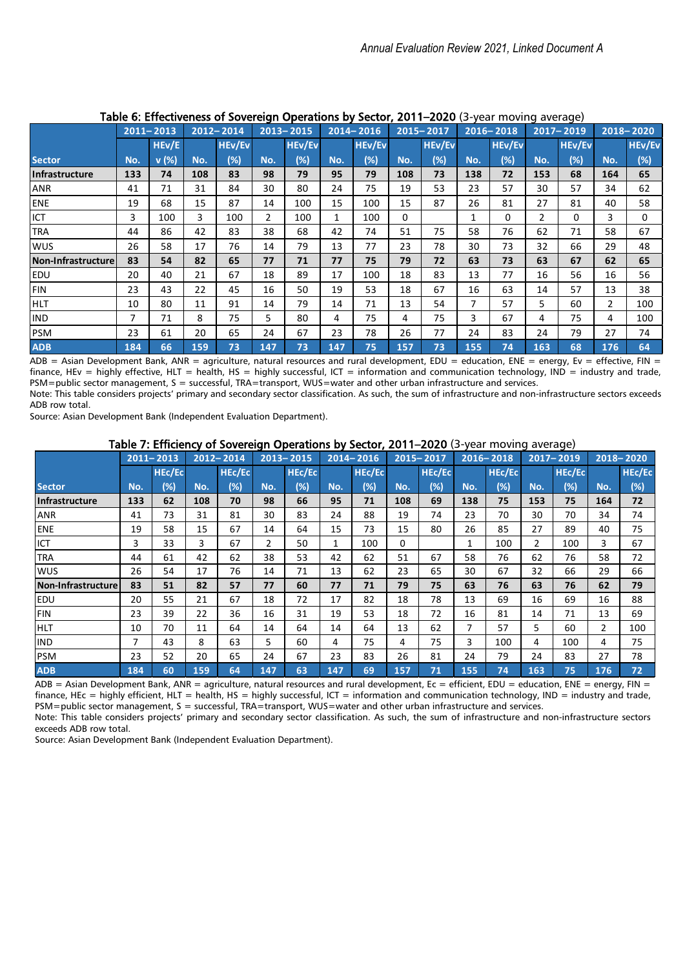|                    |     | TUDIC OF EITCONVOITOSS |     |               |                | 30            |              |               |     | $\sim$        |     | car moving average, |     |               |                |               |
|--------------------|-----|------------------------|-----|---------------|----------------|---------------|--------------|---------------|-----|---------------|-----|---------------------|-----|---------------|----------------|---------------|
|                    |     | $2011 - 2013$          |     | $2012 - 2014$ |                | $2013 - 2015$ |              | $2014 - 2016$ |     | 2015-2017     |     | $2016 - 2018$       |     | 2017-2019     |                | 2018-2020     |
|                    |     | HEv/E                  |     | <b>HEv/Ev</b> |                | <b>HEv/Ev</b> |              | <b>HEv/Ev</b> |     | <b>HEv/Ev</b> |     | <b>HEv/Ev</b>       |     | <b>HEv/Ev</b> |                | <b>HEv/Ev</b> |
| <b>Sector</b>      | No. | v(%)                   | No. | $(\%)$        | No.            | $(\%)$        | No.          | $(\%)$        | No. | (%)           | No. | (%)                 | No. | (%)           | No.            | $(\%)$        |
| Infrastructure     | 133 | 74                     | 108 | 83            | 98             | 79            | 95           | 79            | 108 | 73            | 138 | 72                  | 153 | 68            | 164            | 65            |
| <b>ANR</b>         | 41  | 71                     | 31  | 84            | 30             | 80            | 24           | 75            | 19  | 53            | 23  | 57                  | 30  | 57            | 34             | 62            |
| ENE                | 19  | 68                     | 15  | 87            | 14             | 100           | 15           | 100           | 15  | 87            | 26  | 81                  | 27  | 81            | 40             | 58            |
| ICT                | 3   | 100                    | 3   | 100           | $\overline{2}$ | 100           | $\mathbf{1}$ | 100           | 0   |               | 1   | 0                   | 2   | $\Omega$      | 3              | $\Omega$      |
| <b>TRA</b>         | 44  | 86                     | 42  | 83            | 38             | 68            | 42           | 74            | 51  | 75            | 58  | 76                  | 62  | 71            | 58             | 67            |
| <b>WUS</b>         | 26  | 58                     | 17  | 76            | 14             | 79            | 13           | 77            | 23  | 78            | 30  | 73                  | 32  | 66            | 29             | 48            |
| Non-Infrastructure | 83  | 54                     | 82  | 65            | 77             | 71            | 77           | 75            | 79  | 72            | 63  | 73                  | 63  | 67            | 62             | 65            |
| <b>EDU</b>         | 20  | 40                     | 21  | 67            | 18             | 89            | 17           | 100           | 18  | 83            | 13  | 77                  | 16  | 56            | 16             | 56            |
| <b>FIN</b>         | 23  | 43                     | 22  | 45            | 16             | 50            | 19           | 53            | 18  | 67            | 16  | 63                  | 14  | 57            | 13             | 38            |
| <b>IHLT</b>        | 10  | 80                     | 11  | 91            | 14             | 79            | 14           | 71            | 13  | 54            | 7   | 57                  | 5   | 60            | $\overline{2}$ | 100           |
| <b>IND</b>         | 7   | 71                     | 8   | 75            | 5              | 80            | 4            | 75            | 4   | 75            | 3   | 67                  | 4   | 75            | 4              | 100           |
| PSM                | 23  | 61                     | 20  | 65            | 24             | 67            | 23           | 78            | 26  | 77            | 24  | 83                  | 24  | 79            | 27             | 74            |
| <b>ADB</b>         | 184 | 66                     | 159 | 73            | 147            | 73            | 147          | 75            | 157 | 73            | 155 | 74                  | 163 | 68            | 176            | 64            |

## Table 6: Effectiveness of Sovereign Operations by Sector, 2011–2020 (3-year moving average)

 $\overline{ADB}$  = Asian Development Bank, ANR = agriculture, natural resources and rural development, EDU = education, ENE = energy, Ev = effective, FIN = finance, HEv = highly effective, HLT = health, HS = highly successful, ICT = information and communication technology, IND = industry and trade, PSM=public sector management, S = successful, TRA=transport, WUS=water and other urban infrastructure and services. Note: This table considers projects' primary and secondary sector classification. As such, the sum of infrastructure and non-infrastructure sectors exceeds ADB row total.

Source: Asian Development Bank (Independent Evaluation Department).

# Table 7: Efficiency of Sovereign Operations by Sector, 2011–2020 (3-year moving average)

|                    |     |               |     |           |     | ----          |     |               |     |           |     |               |                | --- - - - 1   |                |           |
|--------------------|-----|---------------|-----|-----------|-----|---------------|-----|---------------|-----|-----------|-----|---------------|----------------|---------------|----------------|-----------|
|                    |     | $2011 - 2013$ |     | 2012-2014 |     | $2013 - 2015$ |     | $2014 - 2016$ |     | 2015-2017 |     | $2016 - 2018$ |                | 2017-2019     |                | 2018-2020 |
|                    |     | <b>HEC/EC</b> |     | HEc/Ec    |     | HEc/Ec        |     | <b>HEc/Ec</b> |     | HEc/Ec    |     | <b>HEC/EC</b> |                | <b>HEc/Ec</b> |                | HEc/Ec    |
| <b>Sector</b>      | No. | (%)           | No. | (%)       | No. | $(\%)$        | No. | $(\%)$        | No. | $(\%)$    | No. | (%)           | No.            | (%)           | No.            | $(\%)$    |
| Infrastructure     | 133 | 62            | 108 | 70        | 98  | 66            | 95  | 71            | 108 | 69        | 138 | 75            | 153            | 75            | 164            | 72        |
| <b>ANR</b>         | 41  | 73            | 31  | 81        | 30  | 83            | 24  | 88            | 19  | 74        | 23  | 70            | 30             | 70            | 34             | 74        |
| <b>ENE</b>         | 19  | 58            | 15  | 67        | 14  | 64            | 15  | 73            | 15  | 80        | 26  | 85            | 27             | 89            | 40             | 75        |
| ICT                | 3   | 33            | 3   | 67        | 2   | 50            | 1   | 100           | 0   |           | 1   | 100           | $\overline{2}$ | 100           | 3              | 67        |
| <b>TRA</b>         | 44  | 61            | 42  | 62        | 38  | 53            | 42  | 62            | 51  | 67        | 58  | 76            | 62             | 76            | 58             | 72        |
| <b>WUS</b>         | 26  | 54            | 17  | 76        | 14  | 71            | 13  | 62            | 23  | 65        | 30  | 67            | 32             | 66            | 29             | 66        |
| Non-Infrastructure | 83  | 51            | 82  | 57        | 77  | 60            | 77  | 71            | 79  | 75        | 63  | 76            | 63             | 76            | 62             | 79        |
| <b>EDU</b>         | 20  | 55            | 21  | 67        | 18  | 72            | 17  | 82            | 18  | 78        | 13  | 69            | 16             | 69            | 16             | 88        |
| FIN                | 23  | 39            | 22  | 36        | 16  | 31            | 19  | 53            | 18  | 72        | 16  | 81            | 14             | 71            | 13             | 69        |
| <b>HLT</b>         | 10  | 70            | 11  | 64        | 14  | 64            | 14  | 64            | 13  | 62        | 7   | 57            | 5              | 60            | $\overline{2}$ | 100       |
| <b>IND</b>         | 7   | 43            | 8   | 63        | 5   | 60            | 4   | 75            | 4   | 75        | 3   | 100           | 4              | 100           | 4              | 75        |
| PSM                | 23  | 52            | 20  | 65        | 24  | 67            | 23  | 83            | 26  | 81        | 24  | 79            | 24             | 83            | 27             | 78        |
| <b>ADB</b>         | 184 | 60            | 159 | 64        | 147 | 63            | 147 | 69            | 157 | 71        | 155 | 74            | 163            | 75            | 176            | 72        |

 $ADB = Asian Development Bank, ANR = agriculture, natural resources and rural development, Ec = efficient, EDU = education, ENE = energy, FIN =$ finance, HEc = highly efficient, HLT = health, HS = highly successful, ICT = information and communication technology, IND = industry and trade, PSM=public sector management, S = successful, TRA=transport, WUS=water and other urban infrastructure and services. Note: This table considers projects' primary and secondary sector classification. As such, the sum of infrastructure and non-infrastructure sectors

exceeds ADB row total. Source: Asian Development Bank (Independent Evaluation Department).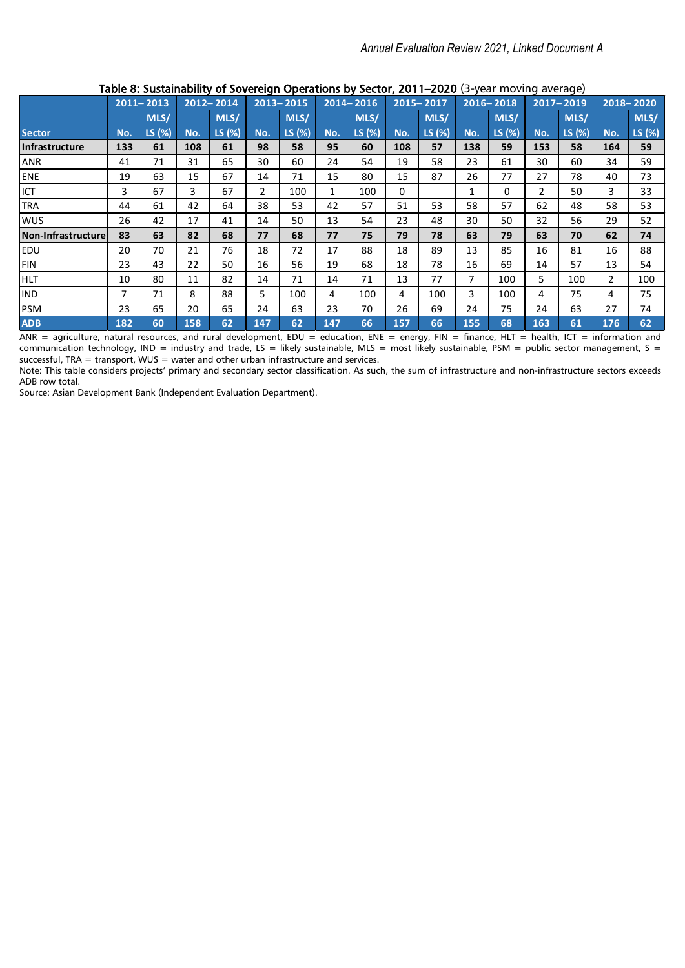|                    |     | $2011 - 2013$ |     | 2012-2014 |     | $2013 - 2015$ |              | $2014 - 2016$ |     | 2015-2017 |     | $2016 - 2018$ |                | 2017-2019 |                | 2018-2020 |
|--------------------|-----|---------------|-----|-----------|-----|---------------|--------------|---------------|-----|-----------|-----|---------------|----------------|-----------|----------------|-----------|
|                    |     | MLS/          |     | MLS/      |     | MLS/          |              | MLS/          |     | MLS/      |     | MLS/          |                | MLS/      |                | MLS/      |
| <b>Sector</b>      | No. | LS (%)        | No. | LS (%)    | No. | LS (%)        | No.          | LS (%)        | No. | LS (%)    | No. | LS (%)        | No.            | LS (%)    | No.            | LS (%)    |
| Infrastructure     | 133 | 61            | 108 | 61        | 98  | 58            | 95           | 60            | 108 | 57        | 138 | 59            | 153            | 58        | 164            | 59        |
| <b>ANR</b>         | 41  | 71            | 31  | 65        | 30  | 60            | 24           | 54            | 19  | 58        | 23  | 61            | 30             | 60        | 34             | 59        |
| ENE                | 19  | 63            | 15  | 67        | 14  | 71            | 15           | 80            | 15  | 87        | 26  | 77            | 27             | 78        | 40             | 73        |
| <b>I</b> ICT       | 3   | 67            | 3   | 67        | 2   | 100           | $\mathbf{1}$ | 100           | 0   |           | 1   | 0             | $\overline{2}$ | 50        | 3              | 33        |
| <b>TRA</b>         | 44  | 61            | 42  | 64        | 38  | 53            | 42           | 57            | 51  | 53        | 58  | 57            | 62             | 48        | 58             | 53        |
| <b>Iwus</b>        | 26  | 42            | 17  | 41        | 14  | 50            | 13           | 54            | 23  | 48        | 30  | 50            | 32             | 56        | 29             | 52        |
| Non-Infrastructure | 83  | 63            | 82  | 68        | 77  | 68            | 77           | 75            | 79  | 78        | 63  | 79            | 63             | 70        | 62             | 74        |
| <b>EDU</b>         | 20  | 70            | 21  | 76        | 18  | 72            | 17           | 88            | 18  | 89        | 13  | 85            | 16             | 81        | 16             | 88        |
| FIN                | 23  | 43            | 22  | 50        | 16  | 56            | 19           | 68            | 18  | 78        | 16  | 69            | 14             | 57        | 13             | 54        |
| <b>HLT</b>         | 10  | 80            | 11  | 82        | 14  | 71            | 14           | 71            | 13  | 77        | 7   | 100           | 5.             | 100       | $\overline{2}$ | 100       |
| <b>IND</b>         | 7   | 71            | 8   | 88        | 5   | 100           | 4            | 100           | 4   | 100       | 3   | 100           | 4              | 75        | 4              | 75        |
| PSM                | 23  | 65            | 20  | 65        | 24  | 63            | 23           | 70            | 26  | 69        | 24  | 75            | 24             | 63        | 27             | 74        |
| <b>ADB</b>         | 182 | 60            | 158 | 62        | 147 | 62            | 147          | 66            | 157 | 66        | 155 | 68            | 163            | 61        | 176            | 62        |

# Table 8: Sustainability of Sovereign Operations by Sector, 2011–2020 (3-year moving average)

ANR = agriculture, natural resources, and rural development, EDU = education, ENE = energy, FIN = finance, HLT = health, ICT = information and communication technology, IND = industry and trade, LS = likely sustainable, MLS = most likely sustainable, PSM = public sector management, S = successful, TRA = transport, WUS = water and other urban infrastructure and services.

Note: This table considers projects' primary and secondary sector classification. As such, the sum of infrastructure and non-infrastructure sectors exceeds ADB row total.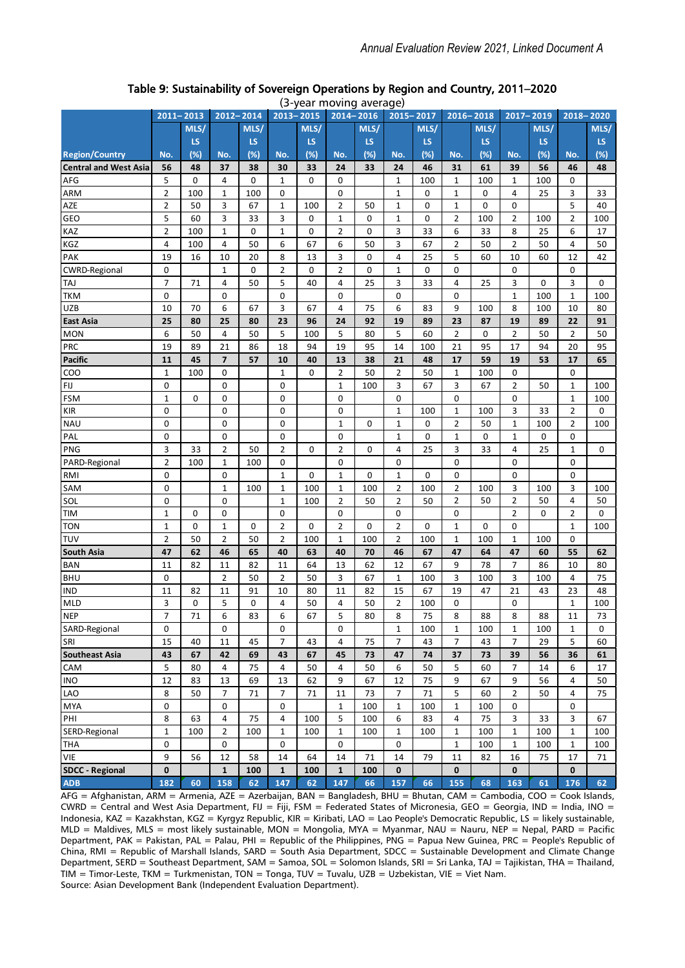|                              | 2011-2013               |      |                         | 2012-2014 | $2013 - 2015$  |             | car moving     | $rac{1}{2}$<br>$2014 - 2016$ | 2015-2017      |             | 2016-2018      |      | 2017-2019      |             |                | 2018-2020 |
|------------------------------|-------------------------|------|-------------------------|-----------|----------------|-------------|----------------|------------------------------|----------------|-------------|----------------|------|----------------|-------------|----------------|-----------|
|                              |                         | MLS/ |                         | MLS/      |                | MLS/        |                | MLS/                         |                | MLS/        |                | MLS/ |                | MLS/        |                | MLS/      |
|                              |                         | LS   |                         | LS        |                | <b>LS</b>   |                | LS                           |                | LS          |                | LS.  |                | LS.         |                | LS.       |
| <b>Region/Country</b>        | No.                     | (%)  | No.                     | (%)       | No.            | (%)         | No.            | (%)                          | No.            | (%)         | No.            | (%)  | No.            | $(\%)$      | No.            | $(\%)$    |
| <b>Central and West Asia</b> | 56                      | 48   | 37                      | 38        | 30             | 33          | 24             | 33                           | 24             | 46          | 31             | 61   | 39             | 56          | 46             | 48        |
| AFG                          | 5                       | 0    | 4                       | 0         | 1              | 0           | 0              |                              | 1              | 100         | $\mathbf{1}$   | 100  | 1              | 100         | 0              |           |
| ARM                          | $\overline{2}$          | 100  | $\mathbf{1}$            | 100       | 0              |             | $\mathbf 0$    |                              | $\mathbf{1}$   | 0           | $\mathbf{1}$   | 0    | 4              | 25          | 3              | 33        |
| AZE                          | $\overline{2}$          | 50   | 3                       | 67        | $\mathbf 1$    | 100         | $\overline{2}$ | 50                           | 1              | 0           | $\mathbf{1}$   | 0    | 0              |             | 5              | 40        |
| GEO                          | 5                       | 60   | 3                       | 33        | 3              | $\mathbf 0$ | $\mathbf 1$    | 0                            | 1              | $\mathbf 0$ | $\overline{2}$ | 100  | $\overline{2}$ | 100         | $\overline{2}$ | 100       |
| KAZ                          | $\overline{2}$          | 100  | $\mathbf 1$             | 0         | 1              | 0           | 2              | 0                            | 3              | 33          | 6              | 33   | 8              | 25          | 6              | 17        |
| KGZ                          | $\overline{\mathbf{4}}$ | 100  | 4                       | 50        | 6              | 67          | 6              | 50                           | 3              | 67          | $\overline{2}$ | 50   | $\overline{2}$ | 50          | 4              | 50        |
| PAK                          | 19                      | 16   | 10                      | 20        | 8              | 13          | 3              | 0                            | 4              | 25          | 5              | 60   | 10             | 60          | 12             | 42        |
| <b>CWRD-Regional</b>         | 0                       |      | 1                       | 0         | $\overline{2}$ | 0           | 2              | 0                            | 1              | 0           | 0              |      | 0              |             | 0              |           |
| <b>TAJ</b>                   | $\overline{7}$          | 71   | 4                       | 50        | 5              | 40          | 4              | 25                           | 3              | 33          | 4              | 25   | 3              | 0           | 3              | 0         |
| <b>TKM</b>                   | 0                       |      | 0                       |           | 0              |             | 0              |                              | $\mathbf 0$    |             | 0              |      | $\mathbf{1}$   | 100         | $\mathbf 1$    | 100       |
| <b>UZB</b>                   | 10                      | 70   | 6                       | 67        | 3              | 67          | 4              | 75                           | 6              | 83          | 9              | 100  | 8              | 100         | 10             | 80        |
| <b>East Asia</b>             | 25                      | 80   | 25                      | 80        | 23             | 96          | 24             | 92                           | 19             | 89          | 23             | 87   | 19             | 89          | 22             | 91        |
| <b>MON</b>                   | 6                       | 50   | 4                       | 50        | 5              | 100         | 5              | 80                           | 5              | 60          | 2              | 0    | $\overline{2}$ | 50          | $\overline{2}$ | 50        |
| <b>PRC</b>                   | 19                      | 89   | 21                      | 86        | 18             | 94          | 19             | 95                           | 14             | 100         | 21             | 95   | 17             | 94          | 20             | 95        |
| <b>Pacific</b>               | 11                      | 45   | $\overline{\mathbf{z}}$ | 57        | 10             | 40          | 13             | 38                           | 21             | 48          | 17             | 59   | 19             | 53          | 17             | 65        |
| COO                          | $\mathbf 1$             | 100  | 0                       |           | $\mathbf 1$    | 0           | 2              | 50                           | $\overline{2}$ | 50          | 1              | 100  | 0              |             | 0              |           |
| FIJ                          | 0                       |      | 0                       |           | 0              |             | $\mathbf{1}$   | 100                          | 3              | 67          | 3              | 67   | $\overline{2}$ | 50          | $\mathbf 1$    | 100       |
| <b>FSM</b>                   | $\mathbf{1}$            | 0    | 0                       |           | 0              |             | 0              |                              | 0              |             | 0              |      | 0              |             | $\mathbf 1$    | 100       |
| <b>KIR</b>                   | 0                       |      | 0                       |           | 0              |             | 0              |                              | $\mathbf 1$    | 100         | 1              | 100  | 3              | 33          | $\overline{2}$ | 0         |
| <b>NAU</b>                   | 0                       |      | 0                       |           | 0              |             | $\mathbf{1}$   | 0                            | 1              | 0           | 2              | 50   | 1              | 100         | $\overline{2}$ | 100       |
| PAL                          | 0                       |      | 0                       |           | 0              |             | 0              |                              | $\mathbf 1$    | 0           | $\mathbf{1}$   | 0    | $\mathbf{1}$   | 0           | 0              |           |
| PNG                          | 3                       | 33   | $\overline{2}$          | 50        | $\overline{2}$ | 0           | $\overline{2}$ | $\mathbf 0$                  | 4              | 25          | 3              | 33   | 4              | 25          | $\mathbf{1}$   | 0         |
| PARD-Regional                | $\overline{2}$          | 100  | 1                       | 100       | 0              |             | 0              |                              | 0              |             | 0              |      | 0              |             | $\mathbf 0$    |           |
| <b>RMI</b>                   | 0                       |      | 0                       |           | $\mathbf 1$    | 0           | $\mathbf 1$    | $\mathbf 0$                  | $\mathbf 1$    | 0           | 0              |      | 0              |             | $\mathbf 0$    |           |
| SAM                          | 0                       |      | $\mathbf{1}$            | 100       | $\mathbf 1$    | 100         | $\mathbf{1}$   | 100                          | $\overline{2}$ | 100         | $\overline{2}$ | 100  | 3              | 100         | 3              | 100       |
| SOL                          | 0                       |      | 0                       |           | 1              | 100         | $\overline{2}$ | 50                           | 2              | 50          | 2              | 50   | $\overline{2}$ | 50          | 4              | 50        |
| <b>TIM</b>                   | $\mathbf 1$             | 0    | 0                       |           | 0              |             | $\mathbf 0$    |                              | 0              |             | 0              |      | $\overline{2}$ | $\mathbf 0$ | $\overline{2}$ | 0         |
| <b>TON</b>                   | $\mathbf 1$             | 0    | $\mathbf{1}$            | 0         | $\overline{2}$ | 0           | $\overline{2}$ | 0                            | $\overline{2}$ | 0           | $\mathbf{1}$   | 0    | 0              |             | $\mathbf{1}$   | 100       |
| <b>TUV</b>                   | $\overline{2}$          | 50   | $\overline{2}$          | 50        | $\overline{2}$ | 100         | $\mathbf{1}$   | 100                          | $\overline{2}$ | 100         | $\mathbf{1}$   | 100  | $\mathbf{1}$   | 100         | 0              |           |
| South Asia                   | 47                      | 62   | 46                      | 65        | 40             | 63          | 40             | 70                           | 46             | 67          | 47             | 64   | 47             | 60          | 55             | 62        |
| <b>BAN</b>                   | 11                      | 82   | 11                      | 82        | 11             | 64          | 13             | 62                           | 12             | 67          | 9              | 78   | $\overline{7}$ | 86          | 10             | 80        |
| <b>BHU</b>                   | 0                       |      | $\overline{2}$          | 50        | $\overline{2}$ | 50          | 3              | 67                           | 1              | 100         | 3              | 100  | 3              | 100         | 4              | 75        |
| <b>IND</b>                   | 11                      | 82   | 11                      | 91        | 10             | 80          | 11             | 82                           | 15             | 67          | 19             | 47   | 21             | 43          | 23             | 48        |
| <b>MLD</b>                   | 3                       | 0    | 5                       | 0         | 4              | 50          | 4              | 50                           | $\overline{2}$ | 100         | 0              |      | 0              |             | 1              | 100       |
| <b>NEP</b>                   | $\overline{7}$          | 71   | 6                       | 83        | 6              | 67          | 5              | 80                           | 8              | 75          | 8              | 88   | 8              | 88          | 11             | 73        |
| SARD-Regional                | 0                       |      | 0                       |           | 0              |             | 0              |                              | 1              | 100         | 1              | 100  | 1              | 100         | 1              | 0         |
| SRI                          | 15                      | 40   | 11                      | 45        | $\overline{7}$ | 43          | 4              | 75                           | $\overline{7}$ | 43          | $\overline{7}$ | 43   | 7              | 29          | 5              | 60        |
| <b>Southeast Asia</b>        | 43                      | 67   | 42                      | 69        | 43             | 67          | 45             | 73                           | 47             | 74          | 37             | 73   | 39             | 56          | 36             | 61        |
| CAM                          | 5                       | 80   | 4                       | 75        | 4              | 50          | 4              | 50                           | 6              | 50          | 5              | 60   | 7              | 14          | 6              | 17        |
| INO                          | 12                      | 83   | 13                      | 69        | 13             | 62          | 9              | 67                           | 12             | 75          | 9              | 67   | 9              | 56          | 4              | 50        |
| LAO                          | 8                       | 50   | 7                       | 71        | $\overline{7}$ | 71          | 11             | 73                           | 7              | 71          | 5              | 60   | $\overline{2}$ | 50          | 4              | 75        |
| MYA                          | 0                       |      | 0                       |           | 0              |             | 1              | 100                          | 1              | 100         | 1              | 100  | 0              |             | 0              |           |
| PHI                          | 8                       | 63   | 4                       | 75        | 4              | 100         | 5              | 100                          | 6              | 83          | 4              | 75   | 3              | 33          | 3              | 67        |
| SERD-Regional                | $\mathbf{1}$            | 100  | $\overline{2}$          | 100       | $\mathbf 1$    | 100         | $\mathbf 1$    | 100                          | 1              | 100         | 1              | 100  | $\mathbf{1}$   | 100         | $\mathbf{1}$   | 100       |
| <b>THA</b>                   | 0                       |      | 0                       |           | 0              |             | 0              |                              | 0              |             | 1              | 100  | $\mathbf{1}$   | 100         | $\mathbf{1}$   | 100       |
| VIE                          | 9                       | 56   | 12                      | 58        | 14             | 64          | 14             | 71                           | 14             | 79          | 11             | 82   | 16             | 75          | 17             | 71        |
| <b>SDCC - Regional</b>       | 0                       |      | $\mathbf{1}$            | 100       | $\mathbf{1}$   | 100         | $\mathbf{1}$   | 100                          | $\mathbf{0}$   |             | 0              |      | $\mathbf{0}$   |             | $\mathbf{0}$   |           |
| <b>ADB</b>                   | 182                     | 60   | 158                     | 62        | 147            | 62          | 147            | 66                           | 157            | 66          | 155            | 68   | 163            | 61          | 176            | 62        |

#### Table 9: Sustainability of Sovereign Operations by Region and Country, 2011–2020 (3-year moving average)

AFG = Afghanistan, ARM = Armenia, AZE = Azerbaijan, BAN = Bangladesh, BHU = Bhutan, CAM = Cambodia, COO = Cook Islands,  $CWRD =$  Central and West Asia Department, FIJ = Fiji, FSM = Federated States of Micronesia, GEO = Georgia, IND = India, INO = Indonesia, KAZ = Kazakhstan, KGZ = Kyrgyz Republic, KIR = Kiribati, LAO = Lao People's Democratic Republic, LS = likely sustainable, MLD = Maldives, MLS = most likely sustainable, MON = Mongolia, MYA = Myanmar, NAU = Nauru, NEP = Nepal, PARD = Pacific Department, PAK = Pakistan, PAL = Palau, PHI = Republic of the Philippines, PNG = Papua New Guinea, PRC = People's Republic of China, RMI = Republic of Marshall Islands, SARD = South Asia Department, SDCC = Sustainable Development and Climate Change Department, SERD = Southeast Department, SAM = Samoa, SOL = Solomon Islands, SRI = Sri Lanka, TAJ = Tajikistan, THA = Thailand, TIM = Timor-Leste, TKM = Turkmenistan, TON = Tonga, TUV = Tuvalu, UZB = Uzbekistan, VIE = Viet Nam. Source: Asian Development Bank (Independent Evaluation Department).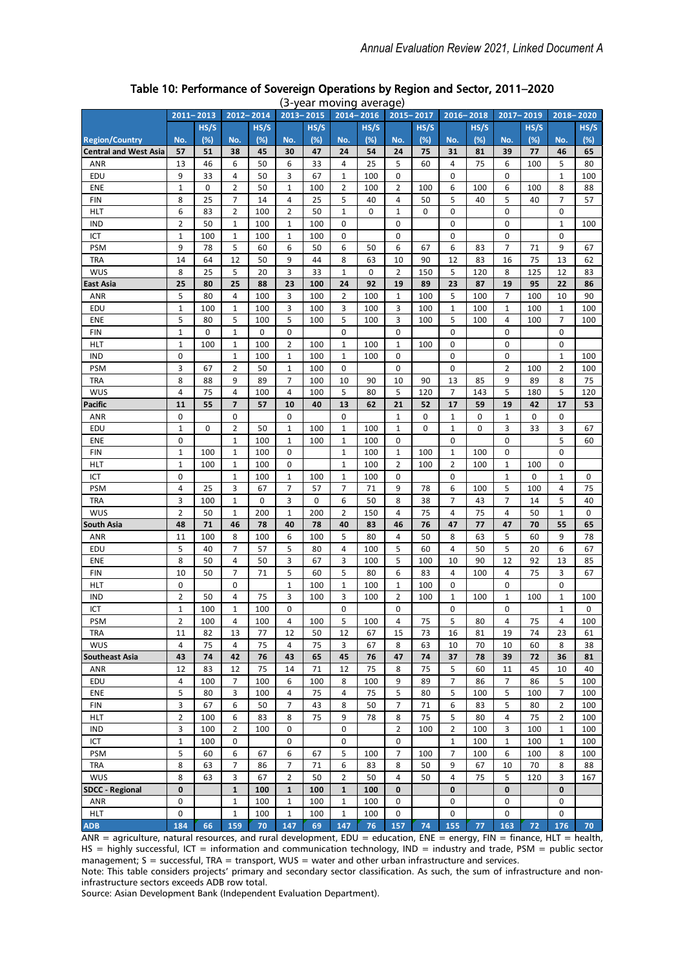|                              | $2011 - 2013$        |           |                               | 2012-2014 |                | $2013 - 2015$ | פווויטיוו ווטין כן | uveruge,<br>2014-2016 | 2015-2017      |          |                | $2016 - 2018$ |                               | 2017-2019 |                | 2018-2020 |
|------------------------------|----------------------|-----------|-------------------------------|-----------|----------------|---------------|--------------------|-----------------------|----------------|----------|----------------|---------------|-------------------------------|-----------|----------------|-----------|
|                              |                      | HS/S      |                               | HS/S      |                | HS/S          |                    | HS/S                  |                | HS/S     |                | HS/S          |                               | HS/S      |                | HS/S      |
| <b>Region/Country</b>        | No.                  | (%)       | No.                           | (%)       | No.            | (%)           | No.                | (%)                   | No.            | (%)      | No.            | (%)           | No.                           | (%)       | No.            | (%)       |
| <b>Central and West Asia</b> | 57                   | 51        | 38                            | 45        | 30             | 47            | 24                 | 54                    | 24             | 75       | 31             | 81            | 39                            | 77        | 46             | 65        |
| <b>ANR</b>                   | 13                   | 46        | 6                             | 50        | 6              | 33            | 4                  | 25                    | 5              | 60       | 4              | 75            | 6                             | 100       | 5              | 80        |
| EDU                          | 9                    | 33        | 4                             | 50        | 3              | 67            | 1                  | 100                   | 0              |          | 0              |               | 0                             |           | 1              | 100       |
| ENE                          | $\mathbf 1$          | 0         | $\overline{2}$                | 50        | $\mathbf 1$    | 100           | $\overline{2}$     | 100                   | 2              | 100      | 6              | 100           | 6                             | 100       | 8              | 88        |
| <b>FIN</b>                   | 8                    | 25        | $\overline{7}$                | 14        | 4              | 25            | 5                  | 40                    | 4              | 50       | 5              | 40            | 5                             | 40        | $\overline{7}$ | 57        |
| <b>HLT</b>                   | 6                    | 83        | $\overline{2}$                | 100       | 2              | 50            | $\mathbf{1}$       | 0                     | $\mathbf{1}$   | 0        | 0              |               | 0                             |           | 0              |           |
| <b>IND</b>                   | $\overline{2}$       | 50        | $\mathbf{1}$                  | 100       | $\mathbf 1$    | 100           | 0                  |                       | 0              |          | 0              |               | 0                             |           | $\mathbf{1}$   | 100       |
| ICT                          | $\mathbf 1$          | 100       | $\mathbf 1$                   | 100       | $\mathbf 1$    | 100           | 0                  |                       | 0              |          | 0              |               | 0                             |           | 0              |           |
| <b>PSM</b>                   | 9                    | 78        | 5                             | 60        | 6              | 50            | 6                  | 50                    | 6              | 67       | 6              | 83            | $\overline{7}$                | 71        | 9              | 67        |
| <b>TRA</b>                   | 14                   | 64        | 12                            | 50        | 9              | 44            | 8                  | 63                    | 10             | 90       | 12             | 83            | 16                            | 75        | 13             | 62        |
| <b>WUS</b>                   | 8                    | 25        | 5                             | 20        | 3              | 33            | 1                  | $\mathbf 0$           | $\overline{2}$ | 150      | 5              | 120           | 8                             | 125       | 12             | 83        |
| East Asia                    | 25                   | 80        | 25                            | 88        | 23             | 100           | 24                 | 92                    | 19             | 89       | 23             | 87            | 19                            | 95        | 22             | 86        |
| ANR                          | 5                    | 80        | 4                             | 100       | 3              | 100           | $\overline{2}$     | 100                   | 1              | 100      | 5              | 100           | 7                             | 100       | 10             | 90        |
| EDU                          | $\mathbf 1$          | 100       | $\mathbf 1$                   | 100       | 3              | 100           | 3                  | 100                   | 3              | 100      | $\mathbf 1$    | 100           | $\mathbf{1}$                  | 100       | $\mathbf{1}$   | 100       |
| ENE                          | 5                    | 80        | 5                             | 100       | 5              | 100           | 5                  | 100                   | 3              | 100      | 5              | 100           | 4                             | 100       | 7              | 100       |
| <b>FIN</b>                   | $\mathbf{1}$         | 0         | $\mathbf 1$                   | 0         | 0              |               | 0                  |                       | 0              |          | 0              |               | 0                             |           | 0              |           |
| HLT                          | $\mathbf 1$          | 100       | $\mathbf 1$                   | 100       | $\overline{2}$ | 100           | $\mathbf 1$        | 100                   | $\mathbf 1$    | 100      | 0              |               | $\mathbf 0$                   |           | $\mathbf 0$    |           |
| <b>IND</b>                   | 0                    |           | $\mathbf 1$                   | 100       | 1              | 100           | 1                  | 100                   | 0              |          | 0              |               | 0                             |           | 1              | 100       |
| <b>PSM</b>                   | 3                    | 67        | $\overline{2}$                | 50        | 1              | 100           | 0                  |                       | 0              |          | 0              |               | $\overline{2}$                | 100       | $\overline{2}$ | 100       |
| <b>TRA</b>                   | 8                    | 88        | 9                             | 89        | 7              | 100           | 10                 | 90                    | 10             | 90       | 13             | 85            | 9                             | 89        | 8              | 75        |
| <b>WUS</b>                   | 4                    | 75        | 4                             | 100       | 4              | 100           | 5                  | 80                    | 5              | 120      | $\overline{7}$ | 143           | 5                             | 180       | 5              | 120       |
| Pacific                      | 11                   | 55        | 7                             | 57        | 10             | 40            | 13                 | 62                    | 21             | 52       | 17             | 59            | 19                            | 42        | 17             | 53        |
| <b>ANR</b>                   | 0                    |           | 0                             |           | 0              |               | 0                  |                       | 1              | 0        | 1              | 0             | 1                             | 0         | $\mathbf 0$    |           |
| <b>EDU</b>                   | $\mathbf{1}$         | 0         | $\overline{2}$                | 50        | $\mathbf 1$    | 100           | $\mathbf{1}$       | 100                   | $\mathbf{1}$   | 0        | $1\,$          | 0             | 3                             | 33        | 3              | 67        |
| ENE                          | $\pmb{0}$            |           | $\mathbf 1$                   | 100       | $\mathbf 1$    | 100           | $\mathbf{1}$       | 100                   | 0              |          | 0              |               | $\mathbf 0$                   |           | 5              | 60        |
| <b>FIN</b>                   | $\mathbf 1$          | 100       | $\mathbf 1$                   | 100       | 0              |               | $\mathbf{1}$       | 100                   | $\mathbf{1}$   | 100      | $\mathbf{1}$   | 100           | 0                             |           | 0              |           |
| <b>HLT</b>                   | $\mathbf 1$          | 100       | $\mathbf{1}$                  | 100       | 0              |               | $\mathbf{1}$       | 100                   | $\overline{2}$ | 100      | $\overline{2}$ | 100           | $\mathbf{1}$                  | 100       | 0              |           |
| ICT                          | 0                    |           | $\mathbf 1$                   | 100       | $\mathbf 1$    | 100           | $\mathbf{1}$       | 100                   | 0              |          | 0              |               | $\mathbf 1$                   | 0         | $\mathbf 1$    | 0         |
| <b>PSM</b>                   | 4                    | 25        | 3                             | 67        | $\overline{7}$ | 57            | $\overline{7}$     | 71                    | 9              | 78       | 6              | 100           | 5                             | 100       | $\overline{4}$ | 75        |
| <b>TRA</b>                   | 3                    | 100       | $\mathbf 1$                   | 0         | 3              | 0             | 6                  | 50                    | 8              | 38       | 7              | 43            | 7                             | 14        | 5              | 40        |
| <b>WUS</b>                   | $\overline{2}$       | 50        | 1                             | 200       | 1              | 200           | 2                  | 150                   | 4              | 75       | 4              | 75            | 4                             | 50        | 1              | 0         |
| South Asia                   | 48                   | 71        | 46                            | 78        | 40             | 78            | 40                 | 83                    | 46             | 76       | 47             | 77            | 47                            | 70        | 55             | 65        |
| ANR                          | 11                   | 100       | 8                             | 100       | 6              | 100           | 5                  | 80                    | 4              | 50       | 8              | 63            | 5                             | 60        | 9              | 78        |
| EDU                          | 5                    | 40        | $\overline{7}$                | 57        | 5              | 80            | 4                  | 100                   | 5              | 60       | $\overline{4}$ | 50            | 5                             | 20        | 6              | 67        |
| ENE                          | 8                    | 50        | $\overline{4}$                | 50        | 3              | 67            | 3                  | 100                   | 5              | 100      | 10             | 90            | 12                            | 92        | 13             | 85        |
| <b>FIN</b>                   | 10                   | 50        | $\overline{7}$                | 71        | 5              | 60            | 5                  | 80                    | 6              | 83       | 4              | 100           | 4                             | 75        | 3              | 67        |
| <b>HLT</b>                   | 0                    |           | 0                             |           | $\mathbf 1$    | 100           | $\mathbf{1}$       | 100                   | $\mathbf{1}$   | 100      | $\mathbf 0$    |               | $\mathbf 0$                   |           | 0              |           |
| <b>IND</b>                   | 2                    | 50        | $\overline{4}$                | 75        | 3              | 100           | 3                  | 100                   | $\overline{2}$ | 100      | 1              | 100           | 1                             | 100       | 1              | 100       |
| ICT                          | $\mathbf{1}$         | 100       | $\mathbf 1$                   | 100       | 0              |               | 0                  |                       | 0              |          | $\mathbf 0$    |               | $\mathbf 0$                   |           | $\mathbf{1}$   | 0         |
| PSM<br><b>TRA</b>            | $\overline{2}$<br>11 | 100<br>82 | $\overline{\mathbf{4}}$<br>13 | 100<br>77 | 4<br>12        | 100<br>50     | 5<br>12            | 100<br>67             | 4<br>15        | 75<br>73 | 5<br>16        | 80<br>81      | $\overline{\mathbf{4}}$<br>19 | 75<br>74  | 4<br>23        | 100<br>61 |
| <b>WUS</b>                   | 4                    | 75        | 4                             | 75        | 4              | 75            | 3                  | 67                    | 8              | 63       | 10             | 70            | 10                            | 60        | 8              | 38        |
| <b>Southeast Asia</b>        | 43                   | 74        | 42                            | 76        | 43             | 65            | 45                 | 76                    | 47             | 74       | 37             | 78            | 39                            | 72        | 36             | 81        |
| ANR                          | 12                   | 83        | 12                            | 75        | 14             | 71            | 12                 | 75                    | 8              | 75       | 5              | 60            | 11                            | 45        | 10             | 40        |
| EDU                          | 4                    | 100       | 7                             | 100       | 6              | 100           | 8                  | 100                   | 9              | 89       | 7              | 86            | 7                             | 86        | 5              | 100       |
| <b>ENE</b>                   | 5                    | 80        | 3                             | 100       | 4              | 75            | 4                  | 75                    | 5              | 80       | 5              | 100           | 5                             | 100       | 7              | 100       |
| <b>FIN</b>                   | 3                    | 67        | 6                             | 50        | 7              | 43            | 8                  | 50                    | 7              | 71       | 6              | 83            | 5                             | 80        | $\overline{2}$ | 100       |
| <b>HLT</b>                   | 2                    | 100       | 6                             | 83        | 8              | 75            | 9                  | 78                    | 8              | 75       | 5              | 80            | 4                             | 75        | 2              | 100       |
| IND                          | 3                    | 100       | $\overline{2}$                | 100       | 0              |               | 0                  |                       | 2              | 100      | $\overline{2}$ | 100           | 3                             | 100       | $\mathbf 1$    | 100       |
| ICT                          | 1                    | 100       | 0                             |           | 0              |               | 0                  |                       | 0              |          | 1              | 100           | 1                             | 100       | 1              | 100       |
| <b>PSM</b>                   | 5                    | 60        | 6                             | 67        | 6              | 67            | 5                  | 100                   | 7              | 100      | 7              | 100           | 6                             | 100       | 8              | 100       |
| <b>TRA</b>                   | 8                    | 63        | 7                             | 86        | 7              | 71            | 6                  | 83                    | 8              | 50       | 9              | 67            | 10                            | 70        | 8              | 88        |
| <b>WUS</b>                   | 8                    | 63        | 3                             | 67        | 2              | 50            | 2                  | 50                    | 4              | 50       | 4              | 75            | 5                             | 120       | 3              | 167       |
| <b>SDCC - Regional</b>       | 0                    |           | $\mathbf{1}$                  | 100       | $\mathbf{1}$   | 100           | 1                  | 100                   | 0              |          | $\bf{0}$       |               | 0                             |           | $\bf{0}$       |           |
| ANR                          | 0                    |           | $\mathbf 1$                   | 100       | 1              | 100           | 1                  | 100                   | 0              |          | 0              |               | 0                             |           | 0              |           |
| <b>HLT</b>                   | 0                    |           | $\mathbf{1}$                  | 100       | $\mathbf{1}$   | 100           | $\mathbf{1}$       | 100                   | 0              |          | 0              |               | 0                             |           | 0              |           |
| <b>ADB</b>                   | 184                  | 66        | 159                           | 70        | 147            | 69            | 147                | 76                    | 157            | 74       | 155            | 77            | 163                           | 72        | 176            | 70        |

#### Table 10: Performance of Sovereign Operations by Region and Sector, 2011–2020 (3-year moving average)

 $AR =$  agriculture, natural resources, and rural development, EDU = education, ENE = energy, FIN = finance, HLT = health, HS = highly successful, ICT = information and communication technology, IND = industry and trade, PSM = public sector management; S = successful, TRA = transport, WUS = water and other urban infrastructure and services.

Note: This table considers projects' primary and secondary sector classification. As such, the sum of infrastructure and noninfrastructure sectors exceeds ADB row total.